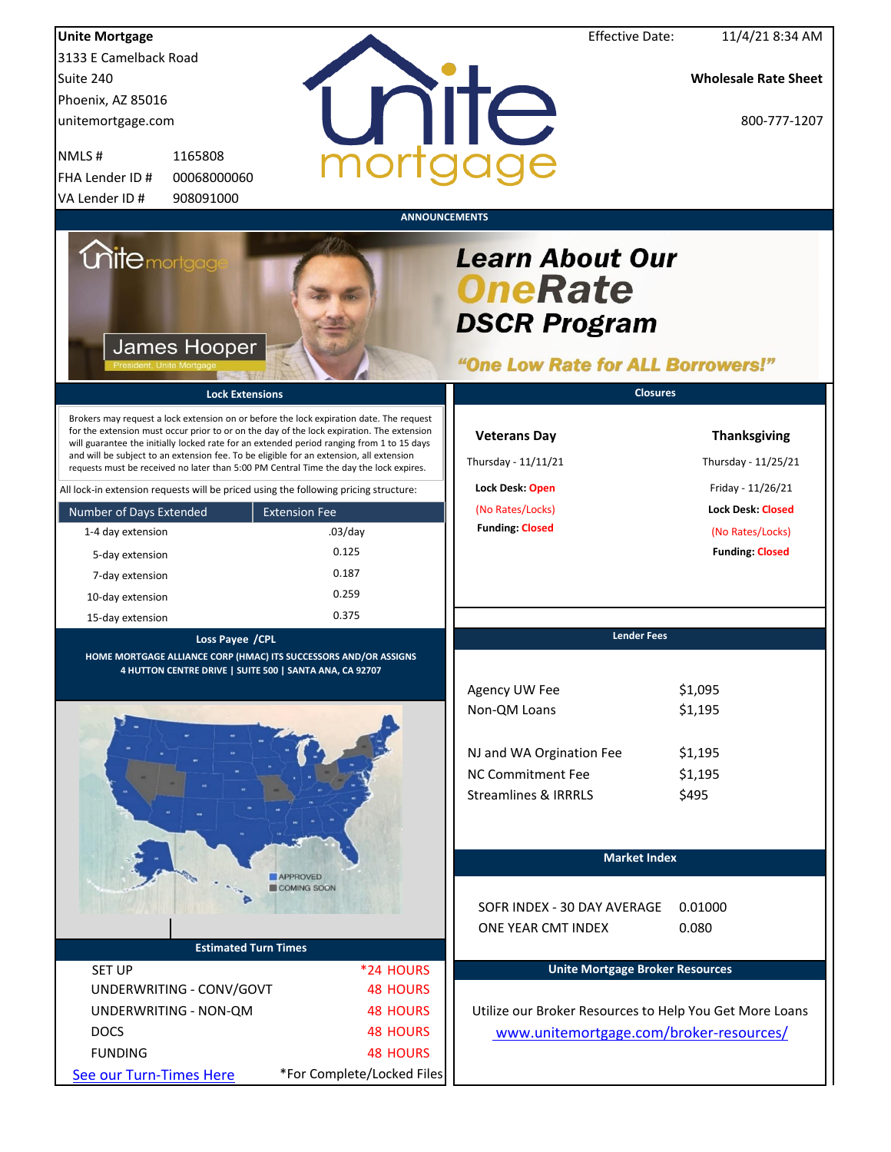| <b>Unite Mortgage</b>                                                                                                                                                                                                                                                                                                                                                                                                                                                  |                                | <b>Effective Date:</b>                                                                               | 11/4/21 8:34 AM                            |
|------------------------------------------------------------------------------------------------------------------------------------------------------------------------------------------------------------------------------------------------------------------------------------------------------------------------------------------------------------------------------------------------------------------------------------------------------------------------|--------------------------------|------------------------------------------------------------------------------------------------------|--------------------------------------------|
| 3133 E Camelback Road                                                                                                                                                                                                                                                                                                                                                                                                                                                  |                                |                                                                                                      |                                            |
| Suite 240                                                                                                                                                                                                                                                                                                                                                                                                                                                              |                                |                                                                                                      | <b>Wholesale Rate Sheet</b>                |
| Phoenix, AZ 85016                                                                                                                                                                                                                                                                                                                                                                                                                                                      |                                |                                                                                                      |                                            |
| unitemortgage.com                                                                                                                                                                                                                                                                                                                                                                                                                                                      |                                | nite                                                                                                 | 800-777-1207                               |
|                                                                                                                                                                                                                                                                                                                                                                                                                                                                        |                                |                                                                                                      |                                            |
| NMLS#<br>1165808                                                                                                                                                                                                                                                                                                                                                                                                                                                       |                                |                                                                                                      |                                            |
| FHA Lender ID #<br>00068000060                                                                                                                                                                                                                                                                                                                                                                                                                                         |                                |                                                                                                      |                                            |
| 908091000<br>VA Lender ID#                                                                                                                                                                                                                                                                                                                                                                                                                                             |                                |                                                                                                      |                                            |
|                                                                                                                                                                                                                                                                                                                                                                                                                                                                        |                                | <b>ANNOUNCEMENTS</b>                                                                                 |                                            |
| <i><b>Unitemortgage</b></i><br>James Hooper                                                                                                                                                                                                                                                                                                                                                                                                                            |                                | <b>Learn About Our</b><br><b>OneRate</b><br><b>DSCR Program</b><br>"One Low Rate for ALL Borrowers!" |                                            |
| <b>Lock Extensions</b>                                                                                                                                                                                                                                                                                                                                                                                                                                                 |                                | <b>Closures</b>                                                                                      |                                            |
| Brokers may request a lock extension on or before the lock expiration date. The request<br>for the extension must occur prior to or on the day of the lock expiration. The extension<br>will guarantee the initially locked rate for an extended period ranging from 1 to 15 days<br>and will be subject to an extension fee. To be eligible for an extension, all extension<br>requests must be received no later than 5:00 PM Central Time the day the lock expires. |                                | <b>Veterans Day</b><br>Thursday - 11/11/21                                                           | <b>Thanksgiving</b><br>Thursday - 11/25/21 |
| All lock-in extension requests will be priced using the following pricing structure:                                                                                                                                                                                                                                                                                                                                                                                   |                                | Lock Desk: Open                                                                                      | Friday - 11/26/21                          |
| Number of Days Extended                                                                                                                                                                                                                                                                                                                                                                                                                                                | <b>Extension Fee</b>           | (No Rates/Locks)                                                                                     | <b>Lock Desk: Closed</b>                   |
| 1-4 day extension                                                                                                                                                                                                                                                                                                                                                                                                                                                      | $.03$ /day                     | <b>Funding: Closed</b>                                                                               | (No Rates/Locks)                           |
| 5-day extension                                                                                                                                                                                                                                                                                                                                                                                                                                                        | 0.125                          |                                                                                                      | <b>Funding: Closed</b>                     |
| 7-day extension                                                                                                                                                                                                                                                                                                                                                                                                                                                        | 0.187                          |                                                                                                      |                                            |
| 10-day extension                                                                                                                                                                                                                                                                                                                                                                                                                                                       | 0.259                          |                                                                                                      |                                            |
| 15-day extension                                                                                                                                                                                                                                                                                                                                                                                                                                                       | 0.375                          |                                                                                                      |                                            |
| Loss Payee /CPL                                                                                                                                                                                                                                                                                                                                                                                                                                                        |                                | <b>Lender Fees</b>                                                                                   |                                            |
| HOME MORTGAGE ALLIANCE CORP (HMAC) ITS SUCCESSORS AND/OR ASSIGNS                                                                                                                                                                                                                                                                                                                                                                                                       |                                |                                                                                                      |                                            |
| <u>4 HUTTON CENTRE DRIVE   SUITE 500   SANTA ANA, CA 92707</u>                                                                                                                                                                                                                                                                                                                                                                                                         |                                |                                                                                                      |                                            |
|                                                                                                                                                                                                                                                                                                                                                                                                                                                                        |                                | Agency UW Fee                                                                                        | \$1,095<br>\$1,195                         |
|                                                                                                                                                                                                                                                                                                                                                                                                                                                                        |                                | Non-QM Loans                                                                                         |                                            |
|                                                                                                                                                                                                                                                                                                                                                                                                                                                                        |                                |                                                                                                      |                                            |
|                                                                                                                                                                                                                                                                                                                                                                                                                                                                        |                                | NJ and WA Orgination Fee                                                                             | \$1,195                                    |
|                                                                                                                                                                                                                                                                                                                                                                                                                                                                        |                                | <b>NC Commitment Fee</b>                                                                             | \$1,195                                    |
|                                                                                                                                                                                                                                                                                                                                                                                                                                                                        |                                | <b>Streamlines &amp; IRRRLS</b>                                                                      | \$495                                      |
|                                                                                                                                                                                                                                                                                                                                                                                                                                                                        |                                |                                                                                                      |                                            |
|                                                                                                                                                                                                                                                                                                                                                                                                                                                                        |                                |                                                                                                      |                                            |
|                                                                                                                                                                                                                                                                                                                                                                                                                                                                        |                                | <b>Market Index</b>                                                                                  |                                            |
|                                                                                                                                                                                                                                                                                                                                                                                                                                                                        | <b>APPROVED</b><br>COMING SOON |                                                                                                      |                                            |
|                                                                                                                                                                                                                                                                                                                                                                                                                                                                        |                                | SOFR INDEX - 30 DAY AVERAGE                                                                          | 0.01000                                    |
|                                                                                                                                                                                                                                                                                                                                                                                                                                                                        |                                | ONE YEAR CMT INDEX                                                                                   | 0.080                                      |
| <b>Estimated Turn Times</b>                                                                                                                                                                                                                                                                                                                                                                                                                                            |                                |                                                                                                      |                                            |
| <b>SET UP</b>                                                                                                                                                                                                                                                                                                                                                                                                                                                          | *24 HOURS                      | <b>Unite Mortgage Broker Resources</b>                                                               |                                            |
| UNDERWRITING - CONV/GOVT                                                                                                                                                                                                                                                                                                                                                                                                                                               | <b>48 HOURS</b>                |                                                                                                      |                                            |
| UNDERWRITING - NON-QM                                                                                                                                                                                                                                                                                                                                                                                                                                                  | <b>48 HOURS</b>                | Utilize our Broker Resources to Help You Get More Loans                                              |                                            |
| <b>DOCS</b>                                                                                                                                                                                                                                                                                                                                                                                                                                                            | <b>48 HOURS</b>                | www.unitemortgage.com/broker-resources/                                                              |                                            |
| <b>FUNDING</b>                                                                                                                                                                                                                                                                                                                                                                                                                                                         | <b>48 HOURS</b>                |                                                                                                      |                                            |
| See our Turn-Times Here                                                                                                                                                                                                                                                                                                                                                                                                                                                | *For Complete/Locked Files     |                                                                                                      |                                            |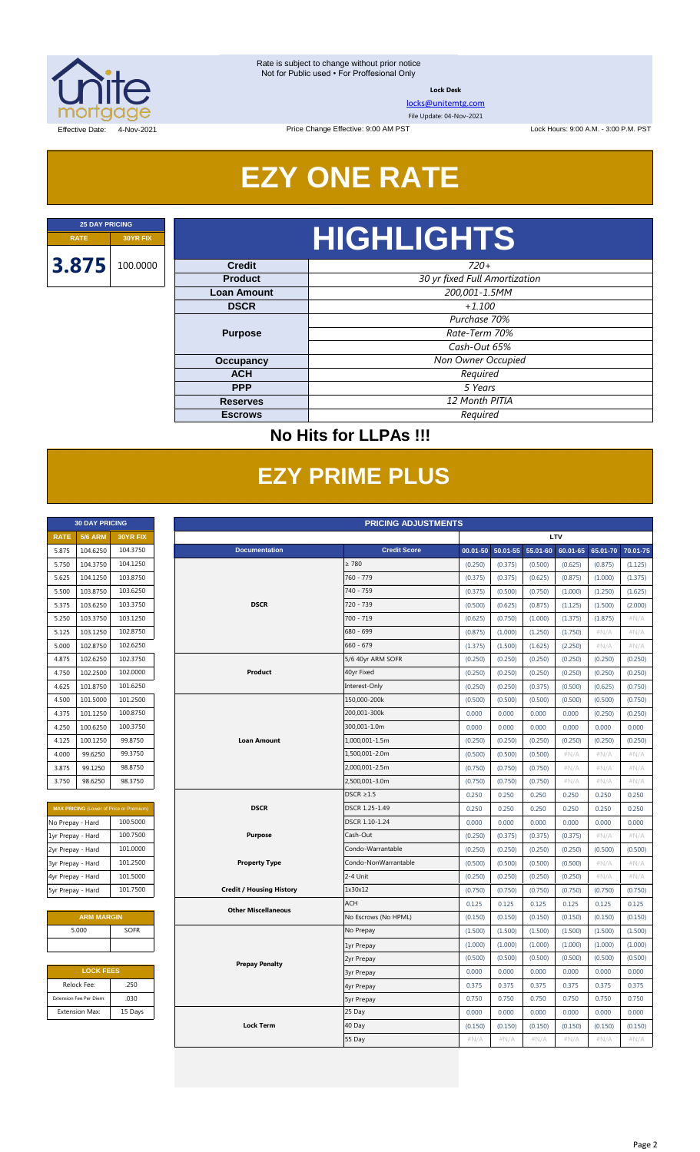

**Lock Desk**

[locks@unitemtg.com](mailto:locks@unitemtg.com)

File Update: 04-Nov-2021

Lock Hours: 9:00 A.M. - 3:00 P.M. PST

Effective Date: 4-Nov-2021

## **EZY ONE RATE**

Price Change Effective: 9:00 AM PST

# **RATE 30YR FIX HIGHLIGHTS**

| <b>Credit</b>      | $720+$                        |  |  |  |
|--------------------|-------------------------------|--|--|--|
| <b>Product</b>     | 30 yr fixed Full Amortization |  |  |  |
| <b>Loan Amount</b> | 200,001-1.5MM                 |  |  |  |
| <b>DSCR</b>        | $+1.100$                      |  |  |  |
|                    | Purchase 70%                  |  |  |  |
| <b>Purpose</b>     | Rate-Term 70%                 |  |  |  |
|                    | Cash-Out 65%                  |  |  |  |
| Occupancy          | Non Owner Occupied            |  |  |  |
| <b>ACH</b>         | Required                      |  |  |  |
| <b>PPP</b>         | 5 Years                       |  |  |  |
| <b>Reserves</b>    | 12 Month PITIA                |  |  |  |
| <b>Escrows</b>     | Required                      |  |  |  |

### **No Hits for LLPAs !!!**

## **EZY PRIME PLUS**

|             | <b>30 DAY PRICING</b> |                 |
|-------------|-----------------------|-----------------|
| <b>RATE</b> | <b>5/6 ARM</b>        | <b>30YR FIX</b> |
| 5.875       | 104.6250              | 104.3750        |
| 5.750       | 104.3750              | 104.1250        |
| 5.625       | 104.1250              | 103.8750        |
| 5.500       | 103.8750              | 103.6250        |
| 5.375       | 103.6250              | 103.3750        |
| 5.250       | 103.3750              | 103.1250        |
| 5.125       | 103.1250              | 102.8750        |
| 5.000       | 102.8750              | 102.6250        |
| 4.875       | 102.6250              | 102.3750        |
| 4.750       | 102.2500              | 102,0000        |
| 4.625       | 101.8750              | 101.6250        |
| 4.500       | 101.5000              | 101.2500        |
| 4.375       | 101.1250              | 100.8750        |
| 4.250       | 100.6250              | 100.3750        |
| 4.125       | 100.1250              | 99.8750         |
| 4.000       | 99.6250               | 99.3750         |
| 3.875       | 99.1250               | 98.8750         |
| 3.750       | 98.6250               | 98.3750         |

| <b>MAX PRICING (Lower of Price or Premium)</b> |          |  |  |  |  |  |  |  |
|------------------------------------------------|----------|--|--|--|--|--|--|--|
| No Prepay - Hard                               | 100.5000 |  |  |  |  |  |  |  |
| 1yr Prepay - Hard                              | 100.7500 |  |  |  |  |  |  |  |
| 2yr Prepay - Hard                              | 101.0000 |  |  |  |  |  |  |  |
| 3yr Prepay - Hard                              | 101.2500 |  |  |  |  |  |  |  |
| 4yr Prepay - Hard                              | 101.5000 |  |  |  |  |  |  |  |
| 5yr Prepay - Hard                              | 101.7500 |  |  |  |  |  |  |  |

| <b>ARM MARGIN</b> |             |  |  |  |  |  |  |
|-------------------|-------------|--|--|--|--|--|--|
| 5.000             | <b>SOFR</b> |  |  |  |  |  |  |
|                   |             |  |  |  |  |  |  |

| <b>LOCK FEES</b>        |         |  |  |  |  |  |  |
|-------------------------|---------|--|--|--|--|--|--|
| Relock Fee:             | .250    |  |  |  |  |  |  |
| Extension Fee Per Diem: | .030    |  |  |  |  |  |  |
| <b>Extension Max:</b>   | 15 Days |  |  |  |  |  |  |

|                         | <b>30 DAY PRICING</b><br><b>PRICING ADJUSTMENTS</b> |                                                |                                 |                      |         |                   |          |          |          |          |  |
|-------------------------|-----------------------------------------------------|------------------------------------------------|---------------------------------|----------------------|---------|-------------------|----------|----------|----------|----------|--|
| <b>RATE</b>             | <b>5/6 ARM</b>                                      | 30YR FIX                                       |                                 |                      |         |                   |          | LTV      |          |          |  |
| 5.875                   | 104.6250                                            | 104.3750                                       | <b>Documentation</b>            | <b>Credit Score</b>  |         | 00.01-50 50.01-55 | 55.01-60 | 60.01-65 | 65.01-70 | 70.01-75 |  |
| 5.750                   | 104.3750                                            | 104.1250                                       |                                 | $\geq 780$           | (0.250) | (0.375)           | (0.500)  | (0.625)  | (0.875)  | (1.125)  |  |
| 5.625                   | 104.1250                                            | 103.8750                                       |                                 | 760 - 779            | (0.375) | (0.375)           | (0.625)  | (0.875)  | (1.000)  | (1.375)  |  |
| 5.500                   | 103.8750                                            | 103.6250                                       |                                 | 740 - 759            | (0.375) | (0.500)           | (0.750)  | (1.000)  | (1.250)  | (1.625)  |  |
| 5.375                   | 103.6250                                            | 103.3750                                       | <b>DSCR</b>                     | 720 - 739            | (0.500) | (0.625)           | (0.875)  | (1.125)  | (1.500)  | (2.000)  |  |
| 5.250                   | 103.3750                                            | 103.1250                                       |                                 | 700 - 719            | (0.625) | (0.750)           | (1.000)  | (1.375)  | (1.875)  | #N/A     |  |
| 5.125                   | 103.1250                                            | 102.8750                                       |                                 | 680 - 699            | (0.875) | (1.000)           | (1.250)  | (1.750)  | #N/A     | #N/A     |  |
| 5.000                   | 102.8750                                            | 102.6250                                       |                                 | 660 - 679            | (1.375) | (1.500)           | (1.625)  | (2.250)  | $\#N/A$  | $\#N/A$  |  |
| 4.875                   | 102.6250                                            | 102.3750                                       |                                 | 5/6 40yr ARM SOFR    | (0.250) | (0.250)           | (0.250)  | (0.250)  | (0.250)  | (0.250)  |  |
| 4.750                   | 102.2500                                            | 102.0000                                       | Product                         | 40yr Fixed           | (0.250) | (0.250)           | (0.250)  | (0.250)  | (0.250)  | (0.250)  |  |
| 4.625                   | 101.8750                                            | 101.6250                                       |                                 | Interest-Only        | (0.250) | (0.250)           | (0.375)  | (0.500)  | (0.625)  | (0.750)  |  |
| 4.500                   | 101.5000                                            | 101.2500                                       |                                 | 150,000-200k         | (0.500) | (0.500)           | (0.500)  | (0.500)  | (0.500)  | (0.750)  |  |
| 4.375                   | 101.1250                                            | 100.8750                                       |                                 | 200,001-300k         | 0.000   | 0.000             | 0.000    | 0.000    | (0.250)  | (0.250)  |  |
| 4.250                   | 100.6250                                            | 100.3750                                       |                                 | 300,001-1.0m         | 0.000   | 0.000             | 0.000    | 0.000    | 0.000    | 0.000    |  |
| 4.125                   | 100.1250                                            | 99.8750                                        | <b>Loan Amount</b>              | 1,000,001-1.5m       | (0.250) | (0.250)           | (0.250)  | (0.250)  | (0.250)  | (0.250)  |  |
| 4.000                   | 99.6250                                             | 99.3750                                        |                                 | 1,500,001-2.0m       | (0.500) | (0.500)           | (0.500)  | #N/A     | #N/A     | #N/A     |  |
| 3.875                   | 99.1250                                             | 98.8750                                        |                                 | 2,000,001-2.5m       | (0.750) | (0.750)           | (0.750)  | $\#N/A$  | $\#N/A$  | #N/A     |  |
| 3.750                   | 98.6250                                             | 98.3750                                        |                                 | 2,500,001-3.0m       | (0.750) | (0.750)           | (0.750)  | #N/A     | #N/A     | #N/A     |  |
|                         |                                                     |                                                |                                 | $DSCR \geq 1.5$      | 0.250   | 0.250             | 0.250    | 0.250    | 0.250    | 0.250    |  |
|                         |                                                     | <b>MAX PRICING</b> (Lower of Price or Premium) | <b>DSCR</b>                     | DSCR 1.25-1.49       | 0.250   | 0.250             | 0.250    | 0.250    | 0.250    | 0.250    |  |
| No Prepay - Hard        |                                                     | 100.5000                                       |                                 | DSCR 1.10-1.24       | 0.000   | 0.000             | 0.000    | 0.000    | 0.000    | 0.000    |  |
| 1yr Prepay - Hard       |                                                     | 100.7500                                       | <b>Purpose</b>                  | Cash-Out             | (0.250) | (0.375)           | (0.375)  | (0.375)  | # $N/A$  | $\#N/A$  |  |
| 2yr Prepay - Hard       |                                                     | 101.0000                                       |                                 | Condo-Warrantable    | (0.250) | (0.250)           | (0.250)  | (0.250)  | (0.500)  | (0.500)  |  |
| 3yr Prepay - Hard       |                                                     | 101.2500                                       | <b>Property Type</b>            | Condo-NonWarrantable | (0.500) | (0.500)           | (0.500)  | (0.500)  | #N/A     | #N/A     |  |
| 4yr Prepay - Hard       |                                                     | 101.5000                                       |                                 | 2-4 Unit             | (0.250) | (0.250)           | (0.250)  | (0.250)  | $\#N/A$  | $\#N/A$  |  |
| 5yr Prepay - Hard       |                                                     | 101.7500                                       | <b>Credit / Housing History</b> | 1x30x12              | (0.750) | (0.750)           | (0.750)  | (0.750)  | (0.750)  | (0.750)  |  |
|                         |                                                     |                                                | <b>Other Miscellaneous</b>      | <b>ACH</b>           | 0.125   | 0.125             | 0.125    | 0.125    | 0.125    | 0.125    |  |
|                         | <b>ARM MARGIN</b>                                   |                                                |                                 | No Escrows (No HPML) | (0.150) | (0.150)           | (0.150)  | (0.150)  | (0.150)  | (0.150)  |  |
| 5.000                   |                                                     | SOFR                                           |                                 | No Prepay            | (1.500) | (1.500)           | (1.500)  | (1.500)  | (1.500)  | (1.500)  |  |
|                         |                                                     |                                                |                                 | 1yr Prepay           | (1.000) | (1.000)           | (1.000)  | (1.000)  | (1.000)  | (1.000)  |  |
|                         |                                                     |                                                | <b>Prepay Penalty</b>           | 2yr Prepay           | (0.500) | (0.500)           | (0.500)  | (0.500)  | (0.500)  | (0.500)  |  |
|                         | <b>LOCK FEES</b>                                    |                                                |                                 | <b>3yr Prepay</b>    | 0.000   | 0.000             | 0.000    | 0.000    | 0.000    | 0.000    |  |
| Relock Fee:             |                                                     | .250                                           |                                 | 4yr Prepay           | 0.375   | 0.375             | 0.375    | 0.375    | 0.375    | 0.375    |  |
| Extension Fee Per Diem: |                                                     | .030                                           |                                 | <b>5yr Prepay</b>    | 0.750   | 0.750             | 0.750    | 0.750    | 0.750    | 0.750    |  |
| <b>Extension Max:</b>   |                                                     | 15 Days                                        |                                 | 25 Day               | 0.000   | 0.000             | 0.000    | 0.000    | 0.000    | 0.000    |  |
|                         |                                                     |                                                | <b>Lock Term</b>                | 40 Day               | (0.150) | (0.150)           | (0.150)  | (0.150)  | (0.150)  | (0.150)  |  |
|                         |                                                     |                                                |                                 | 55 Day               | #N/A    | $\#N/A$           | $\#N/A$  | #N/A     | #N/A     | $\#N/A$  |  |
|                         |                                                     |                                                |                                 |                      |         |                   |          |          |          |          |  |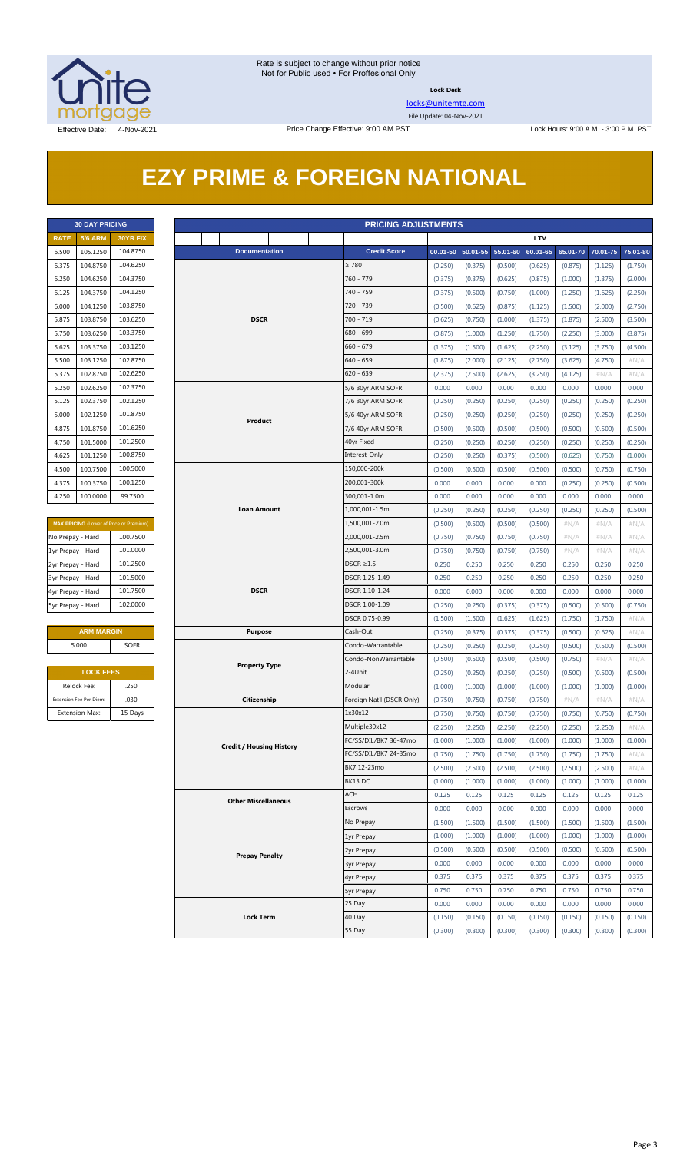

**Lock Desk**

[locks@unitemtg.com](mailto:locks@unitemtg.com)

File Update: 04-Nov-2021

## **EZY PRIME & FOREIGN NATIONAL**

|             | <b>30 DAY PRICING</b> |                 |
|-------------|-----------------------|-----------------|
| <b>RATE</b> | <b>5/6 ARM</b>        | <b>30YR FIX</b> |
| 6.500       | 105.1250              | 104.8750        |
| 6.375       | 104.8750              | 104.6250        |
| 6.250       | 104.6250              | 104.3750        |
| 6.125       | 104.3750              | 104.1250        |
| 6.000       | 104.1250              | 103.8750        |
| 5.875       | 103.8750              | 103.6250        |
| 5.750       | 103.6250              | 103.3750        |
| 5.625       | 103.3750              | 103.1250        |
| 5.500       | 103.1250              | 102.8750        |
| 5.375       | 102.8750              | 102.6250        |
| 5.250       | 102.6250              | 1023750         |
| 5.125       | 102.3750              | 102.1250        |
| 5.000       | 102.1250              | 101.8750        |
| 4.875       | 101.8750              | 101.6250        |
| 4.750       | 101.5000              | 101.2500        |
| 4.625       | 101.1250              | 100.8750        |
| 4.500       | 100.7500              | 100.5000        |
| 4.375       | 100.3750              | 100.1250        |
| 4.250       | 100.0000              | 99.7500         |

| <b>MAX PRICING</b> (Lower of Price or Premium) |  |  |  |  |  |  |  |
|------------------------------------------------|--|--|--|--|--|--|--|
| 100.7500                                       |  |  |  |  |  |  |  |
| 101.0000                                       |  |  |  |  |  |  |  |
| 101.2500                                       |  |  |  |  |  |  |  |
| 101.5000                                       |  |  |  |  |  |  |  |
| 101.7500                                       |  |  |  |  |  |  |  |
| 102,0000                                       |  |  |  |  |  |  |  |
|                                                |  |  |  |  |  |  |  |

#### **ARM MARGIN** 5.000 SOFR

| <b>LOCK FEES</b>        |         |  |  |  |  |  |  |  |
|-------------------------|---------|--|--|--|--|--|--|--|
| Relock Fee:             | .250    |  |  |  |  |  |  |  |
| Extension Fee Per Diem: | .030    |  |  |  |  |  |  |  |
| <b>Extension Max:</b>   | 15 Days |  |  |  |  |  |  |  |

|                               | <b>30 DAY PRICING</b><br><b>PRICING ADJUSTMENTS</b> |                                                |                      |                                 |                   |                                        |                    |                            |                    |                    |                    |                    |                    |
|-------------------------------|-----------------------------------------------------|------------------------------------------------|----------------------|---------------------------------|-------------------|----------------------------------------|--------------------|----------------------------|--------------------|--------------------|--------------------|--------------------|--------------------|
| <b>RATE</b>                   | <b>5/6 ARM</b>                                      | <b>30YR FIX</b>                                |                      |                                 |                   |                                        |                    |                            |                    | LTV                |                    |                    |                    |
| 6.500                         | 105.1250                                            | 104.8750                                       |                      | <b>Documentation</b>            |                   | <b>Credit Score</b>                    |                    | 00.01-50 50.01-55 55.01-60 |                    | 60.01-65           | 65.01-70           | 70.01-75           | 75.01-80           |
| 6.375                         | 104.8750                                            | 104.6250                                       |                      |                                 |                   | $\geq 780$                             | (0.250)            | (0.375)                    | (0.500)            | (0.625)            | (0.875)            | (1.125)            | (1.750)            |
| 6.250                         | 104.6250                                            | 104.3750                                       |                      |                                 |                   | 760 - 779                              | (0.375)            | (0.375)                    | (0.625)            | (0.875)            | (1.000)            | (1.375)            | (2.000)            |
| 6.125                         | 104.3750                                            | 104.1250                                       |                      |                                 |                   | 740 - 759                              | (0.375)            | (0.500)                    | (0.750)            | (1.000)            | (1.250)            | (1.625)            | (2.250)            |
| 6.000                         | 104.1250                                            | 103.8750                                       |                      |                                 |                   | 720 - 739                              | (0.500)            | (0.625)                    | (0.875)            | (1.125)            | (1.500)            | (2.000)            | (2.750)            |
| 5.875                         | 103.8750                                            | 103.6250                                       |                      | <b>DSCR</b>                     |                   | $700 - 719$                            | (0.625)            | (0.750)                    | (1.000)            | (1.375)            | (1.875)            | (2.500)            | (3.500)            |
| 5.750                         | 103.6250                                            | 103.3750                                       |                      |                                 |                   | 680 - 699                              | (0.875)            | (1.000)                    | (1.250)            | (1.750)            | (2.250)            | (3.000)            | (3.875)            |
| 5.625                         | 103.3750                                            | 103.1250                                       |                      |                                 |                   | $660 - 679$                            | (1.375)            | (1.500)                    | (1.625)            | (2.250)            | (3.125)            | (3.750)            | (4.500)            |
| 5.500                         | 103.1250                                            | 102.8750                                       |                      |                                 | 640 - 659         | (1.875)                                | (2.000)            | (2.125)                    | (2.750)            | (3.625)            | (4.750)            | #N/A               |                    |
| 5.375                         | 102.8750                                            | 102.6250                                       |                      |                                 | $620 - 639$       | (2.375)                                | (2.500)            | (2.625)                    | (3.250)            | (4.125)            | #N/A               | $\#N/A$            |                    |
| 5.250                         | 102.6250                                            | 102.3750                                       |                      |                                 |                   | 5/6 30yr ARM SOFR                      | 0.000              | 0.000                      | 0.000              | 0.000              | 0.000              | 0.000              | 0.000              |
| 5.125                         | 102.3750                                            | 102.1250                                       |                      |                                 |                   | 7/6 30yr ARM SOFR                      | (0.250)            | (0.250)                    | (0.250)            | (0.250)            | (0.250)            | (0.250)            | (0.250)            |
| 5.000                         | 102.1250                                            | 101.8750                                       |                      | Product                         |                   | 5/6 40yr ARM SOFR                      | (0.250)            | (0.250)                    | (0.250)            | (0.250)            | (0.250)            | (0.250)            | (0.250)            |
| 4.875                         | 101.8750                                            | 101.6250                                       |                      |                                 |                   | 7/6 40yr ARM SOFR                      | (0.500)            | (0.500)                    | (0.500)            | (0.500)            | (0.500)            | (0.500)            | (0.500)            |
| 4.750                         | 101.5000                                            | 101.2500                                       |                      |                                 |                   | 40yr Fixed                             | (0.250)            | (0.250)                    | (0.250)            | (0.250)            | (0.250)            | (0.250)            | (0.250)            |
| 4.625                         | 101.1250                                            | 100.8750                                       |                      |                                 |                   | Interest-Only                          | (0.250)            | (0.250)                    | (0.375)            | (0.500)            | (0.625)            | (0.750)            | (1.000)            |
| 4.500                         | 100.7500                                            | 100.5000                                       |                      |                                 |                   | 150,000-200k                           | (0.500)            | (0.500)                    | (0.500)            | (0.500)            | (0.500)            | (0.750)            | (0.750)            |
| 4.375                         | 100.3750                                            | 100.1250                                       |                      |                                 |                   | 200,001-300k                           | 0.000              | 0.000                      | 0.000              | 0.000              | (0.250)            | (0.250)            | (0.500)            |
| 4.250                         | 100.0000                                            | 99.7500                                        |                      |                                 |                   | 300,001-1.0m                           | 0.000              | 0.000                      | 0.000              | 0.000              | 0.000              | 0.000              | 0.000              |
|                               |                                                     | Loan Amount                                    |                      |                                 | 1,000,001-1.5m    | (0.250)                                | (0.250)            | (0.250)                    | (0.250)            | (0.250)            | (0.250)            | (0.500)            |                    |
|                               |                                                     | <b>MAX PRICING</b> (Lower of Price or Premium) |                      |                                 |                   | 1,500,001-2.0m                         | (0.500)            | (0.500)                    | (0.500)            | (0.500)            | $\#N/A$            | #N/A               | $\#N/A$            |
| No Prepay - Hard              |                                                     | 100.7500                                       |                      |                                 |                   | 2,000,001-2.5m                         | (0.750)            | (0.750)                    | (0.750)            | (0.750)            | #N/A               | #N/A               | #N/A               |
| 1yr Prepay - Hard             |                                                     | 101.0000                                       |                      |                                 |                   | 2,500,001-3.0m                         | (0.750)            | (0.750)                    | (0.750)            | (0.750)            | $\#N/A$            | #N/A               | #N/A               |
| 2yr Prepay - Hard             |                                                     | 101.2500                                       |                      |                                 |                   | $DSCR \geq 1.5$                        | 0.250              | 0.250                      | 0.250              | 0.250              | 0.250              | 0.250              | 0.250              |
| 3yr Prepay - Hard             |                                                     | 101.5000                                       |                      |                                 |                   | DSCR 1.25-1.49                         | 0.250              | 0.250                      | 0.250              | 0.250              | 0.250              | 0.250              | 0.250              |
| 4yr Prepay - Hard             |                                                     | 101.7500                                       |                      | <b>DSCR</b>                     |                   | DSCR 1.10-1.24                         | 0.000              | 0.000                      | 0.000              | 0.000              | 0.000              | 0.000              | 0.000              |
| 102.0000<br>5yr Prepay - Hard |                                                     |                                                |                      |                                 |                   | DSCR 1.00-1.09<br>DSCR 0.75-0.99       | (0.250)            | (0.250)                    | (0.375)            | (0.375)            | (0.500)            | (0.500)            | (0.750)            |
|                               |                                                     |                                                |                      |                                 |                   | (1.500)                                | (1.500)            | (1.625)                    | (1.625)            | (1.750)            | (1.750)            | $\#N/A$            |                    |
|                               | <b>ARM MARGIN</b>                                   |                                                |                      | <b>Purpose</b>                  |                   | Cash-Out                               | (0.250)            | (0.375)                    | (0.375)            | (0.375)            | (0.500)            | (0.625)            | $\#N/A$            |
|                               | 5.000                                               | <b>SOFR</b>                                    |                      |                                 | Condo-Warrantable | (0.250)                                | (0.250)            | (0.250)                    | (0.250)            | (0.500)            | (0.500)            | (0.500)            |                    |
|                               |                                                     |                                                | <b>Property Type</b> |                                 |                   | Condo-NonWarrantable                   | (0.500)            | (0.500)                    | (0.500)            | (0.500)            | (0.750)            | $\#N/A$            | $\#N/A$            |
|                               | <b>LOCK FEES</b>                                    |                                                |                      |                                 |                   | 2-4Unit                                | (0.250)            | (0.250)                    | (0.250)            | (0.250)            | (0.500)            | (0.500)            | (0.500)            |
|                               | Relock Fee:                                         | .250                                           |                      |                                 |                   | Modular                                | (1.000)            | (1.000)                    | (1.000)            | (1.000)            | (1.000)            | (1.000)            | (1.000)            |
|                               | Extension Fee Per Diem:                             | .030                                           |                      | Citizenship                     |                   | Foreign Nat'l (DSCR Only)              | (0.750)            | (0.750)                    | (0.750)            | (0.750)            | $\#N/A$            | $\#N/A$            | $\#N/A$            |
|                               | <b>Extension Max:</b>                               | 15 Days                                        |                      |                                 |                   | 1x30x12                                | (0.750)            | (0.750)                    | (0.750)            | (0.750)            | (0.750)            | (0.750)            | (0.750)<br>#N/A    |
|                               |                                                     |                                                |                      |                                 |                   | Multiple30x12<br>FC/SS/DIL/BK7 36-47mo | (2.250)            | (2.250)                    | (2.250)            | (2.250)            | (2.250)            | (2.250)            |                    |
|                               |                                                     |                                                |                      | <b>Credit / Housing History</b> |                   | FC/SS/DIL/BK7 24-35mo                  | (1.000)<br>(1.750) | (1.000)<br>(1.750)         | (1.000)<br>(1.750) | (1.000)<br>(1.750) | (1.000)<br>(1.750) | (1.000)<br>(1.750) | (1.000)<br>$\#N/A$ |
|                               |                                                     |                                                |                      |                                 |                   | BK7 12-23mo                            | (2.500)            | (2.500)                    | (2.500)            | (2.500)            | (2.500)            | (2.500)            | # $N/A$            |
|                               |                                                     |                                                |                      |                                 |                   | BK13 DC                                | (1.000)            | (1.000)                    | (1.000)            | (1.000)            | (1.000)            | (1.000)            | (1.000)            |
|                               |                                                     |                                                |                      |                                 |                   | ACH                                    | 0.125              | 0.125                      | 0.125              | 0.125              | 0.125              | 0.125              | 0.125              |
|                               |                                                     |                                                |                      | <b>Other Miscellaneous</b>      |                   | Escrows                                | 0.000              | 0.000                      | 0.000              | 0.000              | 0.000              | 0.000              | 0.000              |
|                               |                                                     |                                                |                      |                                 |                   | No Prepay                              | (1.500)            | (1.500)                    | (1.500)            | (1.500)            | (1.500)            | (1.500)            | (1.500)            |
|                               |                                                     |                                                |                      |                                 | 1yr Prepay        | (1.000)                                | (1.000)            | (1.000)                    | (1.000)            | (1.000)            | (1.000)            | (1.000)            |                    |
|                               |                                                     |                                                |                      |                                 | 2yr Prepay        | (0.500)                                | (0.500)            | (0.500)                    | (0.500)            | (0.500)            | (0.500)            | (0.500)            |                    |
|                               |                                                     |                                                |                      | <b>Prepay Penalty</b>           |                   | <b>3yr Prepay</b>                      | 0.000              | 0.000                      | 0.000              | 0.000              | 0.000              | 0.000              | 0.000              |
|                               |                                                     |                                                |                      |                                 | 4yr Prepay        | 0.375                                  | 0.375              | 0.375                      | 0.375              | 0.375              | 0.375              | 0.375              |                    |
|                               |                                                     |                                                |                      |                                 |                   | <b>5yr Prepay</b>                      | 0.750              | 0.750                      | 0.750              | 0.750              | 0.750              | 0.750              | 0.750              |
|                               |                                                     |                                                |                      |                                 |                   | 25 Day                                 | 0.000              | 0.000                      | 0.000              | 0.000              | 0.000              | 0.000              | 0.000              |
|                               |                                                     |                                                |                      | <b>Lock Term</b>                |                   | 40 Day                                 | (0.150)            | (0.150)                    | (0.150)            | (0.150)            | (0.150)            | (0.150)            | (0.150)            |
|                               |                                                     |                                                |                      |                                 | 55 Day            | (0.300)                                | (0.300)            | (0.300)                    | (0.300)            | (0.300)            | (0.300)            | (0.300)            |                    |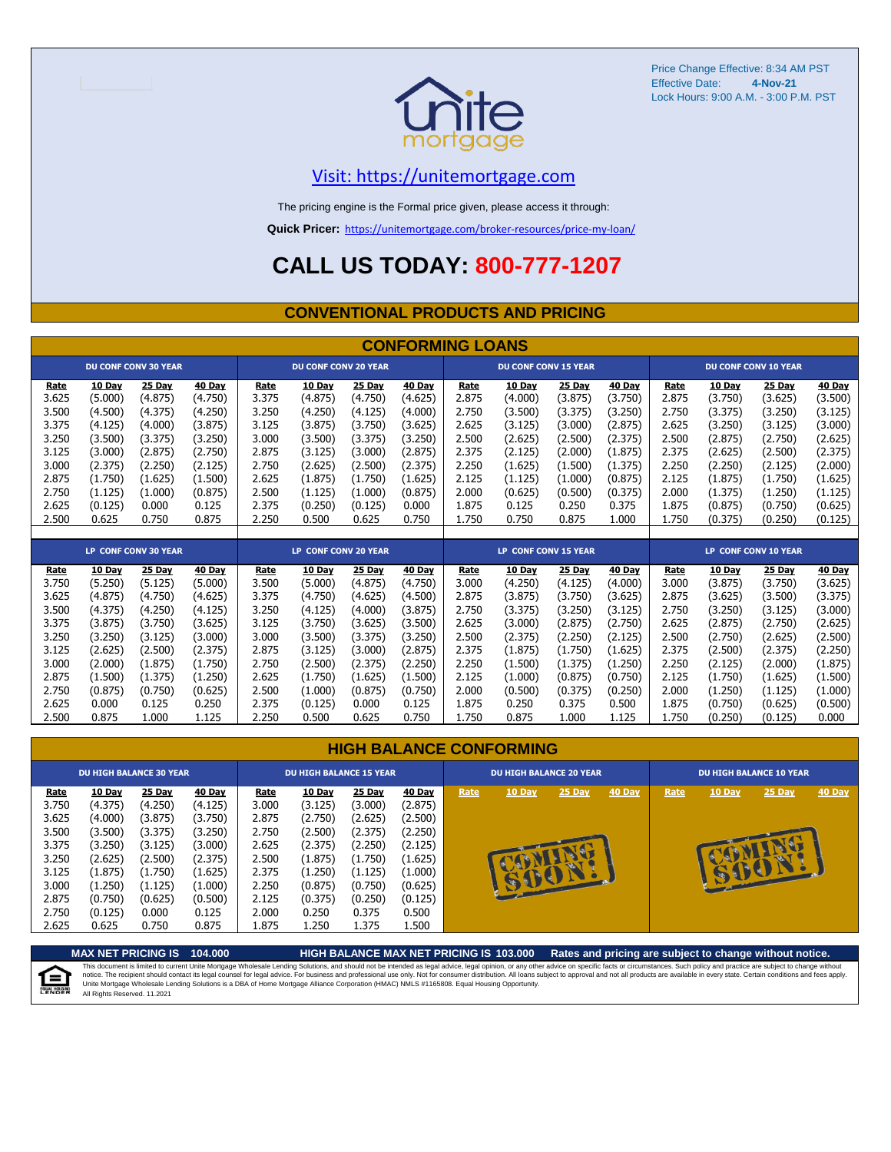

Price Change Effective: 8:34 AM PST Effective Date: Lock Hours: 9:00 A.M. - 3:00 P.M. PST **4-Nov-21**

#### [V](https://unitemortgage.com/)isit: https://unitemortgage.com

The pricing engine is the Formal price given, please access it through:

**Quick Pricer:** [https://un](https://unitemortgage.com/broker-resources/price-my-loan/)itemortgage.com/broker-resources/price-my-loan/

## **CALL US TODAY: 800-777-1207**

#### **CONVENTIONAL PRODUCTS AND PRICING**

|             | <b>CONFORMING LOANS</b> |                             |         |       |                             |         |         |             |                             |         |         |       |               |                             |               |
|-------------|-------------------------|-----------------------------|---------|-------|-----------------------------|---------|---------|-------------|-----------------------------|---------|---------|-------|---------------|-----------------------------|---------------|
|             |                         | <b>DU CONF CONV 30 YEAR</b> |         |       | <b>DU CONF CONV 20 YEAR</b> |         |         |             | <b>DU CONF CONV 15 YEAR</b> |         |         |       |               | <b>DU CONF CONV 10 YEAR</b> |               |
| Rate        | 10 Day                  | 25 Day                      | 40 Day  | Rate  | 10 Day                      | 25 Day  | 40 Day  | <b>Rate</b> | 10 Day                      | 25 Day  | 40 Day  | Rate  | 10 Day        | 25 Day                      | <b>40 Day</b> |
| 3.625       | (5.000)                 | (4.875)                     | (4.750) | 3.375 | (4.875)                     | (4.750) | (4.625) | 2.875       | (4.000)                     | (3.875) | (3.750) | 2.875 | (3.750)       | (3.625)                     | (3.500)       |
| 3.500       | (4.500)                 | (4.375)                     | (4.250) | 3.250 | (4.250)                     | (4.125) | (4.000) | 2.750       | (3.500)                     | (3.375) | (3.250) | 2.750 | (3.375)       | (3.250)                     | (3.125)       |
| 3.375       | (4.125)                 | (4.000)                     | (3.875) | 3.125 | (3.875)                     | (3.750) | (3.625) | 2.625       | (3.125)                     | (3.000) | (2.875) | 2.625 | (3.250)       | (3.125)                     | (3.000)       |
| 3.250       | (3.500)                 | (3.375)                     | (3.250) | 3.000 | (3.500)                     | (3.375) | (3.250) | 2.500       | (2.625)                     | (2.500) | (2.375) | 2.500 | (2.875)       | (2.750)                     | (2.625)       |
| 3.125       | (3.000)                 | (2.875)                     | (2.750) | 2.875 | (3.125)                     | (3.000) | (2.875) | 2.375       | (2.125)                     | (2.000) | (1.875) | 2.375 | (2.625)       | (2.500)                     | (2.375)       |
| 3.000       | (2.375)                 | (2.250)                     | (2.125) | 2.750 | (2.625)                     | (2.500) | (2.375) | 2.250       | (1.625)                     | (1.500) | (1.375) | 2.250 | (2.250)       | (2.125)                     | (2.000)       |
| 2.875       | (1.750)                 | (1.625)                     | (1.500) | 2.625 | (1.875)                     | (1.750) | (1.625) | 2.125       | (1.125)                     | (1.000) | (0.875) | 2.125 | (1.875)       | (1.750)                     | (1.625)       |
| 2.750       | (1.125)                 | (1.000)                     | (0.875) | 2.500 | (1.125)                     | (1.000) | (0.875) | 2.000       | (0.625)                     | (0.500) | (0.375) | 2.000 | (1.375)       | (1.250)                     | (1.125)       |
| 2.625       | (0.125)                 | 0.000                       | 0.125   | 2.375 | (0.250)                     | (0.125) | 0.000   | 1.875       | 0.125                       | 0.250   | 0.375   | 1.875 | (0.875)       | (0.750)                     | (0.625)       |
| 2.500       | 0.625                   | 0.750                       | 0.875   | 2.250 | 0.500                       | 0.625   | 0.750   | 1.750       | 0.750                       | 0.875   | 1.000   | 1.750 | (0.375)       | (0.250)                     | (0.125)       |
|             |                         |                             |         |       |                             |         |         |             |                             |         |         |       |               |                             |               |
|             |                         | <b>LP CONF CONV 30 YEAR</b> |         |       | LP CONF CONV 20 YEAR        |         |         |             | <b>LP CONF CONV 15 YEAR</b> |         |         |       |               | LP CONF CONV 10 YEAR        |               |
| <b>Rate</b> | 10 Day                  | <b>25 Day</b>               | 40 Day  | Rate  | 10 Day                      | 25 Day  | 40 Day  | Rate        | 10 Day                      | 25 Day  | 40 Day  | Rate  | <b>10 Day</b> | 25 Day                      | <b>40 Day</b> |
| 3.750       | (5.250)                 | (5.125)                     | (5.000) | 3.500 | (5.000)                     | (4.875) | (4.750) | 3.000       | (4.250)                     | (4.125) | (4.000) | 3.000 | (3.875)       | (3.750)                     | (3.625)       |
| 3.625       | (4.875)                 | (4.750)                     | (4.625) | 3.375 | (4.750)                     | (4.625) | (4.500) | 2.875       | (3.875)                     | (3.750) | (3.625) | 2.875 | (3.625)       | (3.500)                     | (3.375)       |
| 3.500       | (4.375)                 | (4.250)                     | (4.125) | 3.250 | (4.125)                     | (4.000) | (3.875) | 2.750       | (3.375)                     | (3.250) | (3.125) | 2.750 | (3.250)       | (3.125)                     | (3.000)       |
| 3.375       | (3.875)                 | (3.750)                     | (3.625) | 3.125 | (3.750)                     | (3.625) | (3.500) | 2.625       | (3.000)                     | (2.875) | (2.750) | 2.625 | (2.875)       | (2.750)                     | (2.625)       |
| 3.250       | (3.250)                 | (3.125)                     | (3.000) | 3.000 | (3.500)                     | (3.375) | (3.250) | 2.500       | (2.375)                     | (2.250) | (2.125) | 2.500 | (2.750)       | (2.625)                     | (2.500)       |
| 3.125       | (2.625)                 | (2.500)                     | (2.375) | 2.875 | (3.125)                     | (3.000) | (2.875) | 2.375       | (1.875)                     | (1.750) | (1.625) | 2.375 | (2.500)       | (2.375)                     | (2.250)       |
| 3.000       | (2.000)                 | (1.875)                     | (1.750) | 2.750 | (2.500)                     | (2.375) | (2.250) | 2.250       | (1.500)                     | (1.375) | (1.250) | 2.250 | (2.125)       | (2.000)                     | (1.875)       |
| 2.875       | (1.500)                 | (1.375)                     | (1.250) | 2.625 | (1.750)                     | (1.625) | (1.500) | 2.125       | (1.000)                     | (0.875) | (0.750) | 2.125 | (1.750)       | (1.625)                     | (1.500)       |
| 2.750       | (0.875)                 | (0.750)                     | (0.625) | 2.500 | (1.000)                     | (0.875) | (0.750) | 2.000       | (0.500)                     | (0.375) | (0.250) | 2.000 | (1.250)       | (1.125)                     | (1.000)       |

| <b>HIGH BALANCE CONFORMING</b> |  |
|--------------------------------|--|
|                                |  |

2.625 0.000 0.125 0.250 2.375 (0.125) 0.000 0.125 1.875 0.250 0.375 0.500 1.875 (0.750) (0.625) (0.500) 2.500 0.875 1.000 1.125 2.250 0.500 0.625 0.750 1.750 0.875 1.000 1.125 1.750 (0.250) (0.125) 0.000

|                                                                                                       | <b>DU HIGH BALANCE 30 YEAR</b>                                                                                     |                                                                                                                  |                                                                                                                  |                                                                                                | <b>DU HIGH BALANCE 15 YEAR</b>                                                                                          |                                                                                                                  | <b>DU HIGH BALANCE 20 YEAR</b>                                                                                   |      |        |        | <b>DU HIGH BALANCE 10 YEAR</b> |      |        |          |               |
|-------------------------------------------------------------------------------------------------------|--------------------------------------------------------------------------------------------------------------------|------------------------------------------------------------------------------------------------------------------|------------------------------------------------------------------------------------------------------------------|------------------------------------------------------------------------------------------------|-------------------------------------------------------------------------------------------------------------------------|------------------------------------------------------------------------------------------------------------------|------------------------------------------------------------------------------------------------------------------|------|--------|--------|--------------------------------|------|--------|----------|---------------|
| <b>Rate</b><br>3.750<br>3.625<br>3.500<br>3.375<br>3.250<br>3.125<br>3.000<br>2.875<br>2.750<br>2.625 | 10 Day<br>(4.375)<br>(4.000)<br>(3.500)<br>(3.250)<br>(2.625)<br>(1.875)<br>(1.250)<br>(0.750)<br>(0.125)<br>0.625 | 25 Day<br>(4.250)<br>(3.875)<br>(3.375)<br>(3.125)<br>(2.500)<br>(1.750)<br>(1.125)<br>(0.625)<br>0.000<br>0.750 | 40 Day<br>(4.125)<br>(3.750)<br>(3.250)<br>(3.000)<br>(2.375)<br>(1.625)<br>(1.000)<br>(0.500)<br>0.125<br>0.875 | Rate<br>3.000<br>2.875<br>2.750<br>2.625<br>2.500<br>2.375<br>2.250<br>2.125<br>2.000<br>1.875 | <b>10 Day</b><br>(3.125)<br>(2.750)<br>(2.500)<br>(2.375)<br>(1.875)<br>(1.250)<br>(0.875)<br>(0.375)<br>0.250<br>1.250 | 25 Day<br>(3.000)<br>(2.625)<br>(2.375)<br>(2.250)<br>(1.750)<br>(1.125)<br>(0.750)<br>(0.250)<br>0.375<br>1.375 | 40 Day<br>(2.875)<br>(2.500)<br>(2.250)<br>(2.125)<br>(1.625)<br>(1.000)<br>(0.625)<br>(0.125)<br>0.500<br>1.500 | Rate | 10 Day | 25 Day | <b>40 Day</b>                  | Rate | 10 Day | $25$ Day | <b>40 Day</b> |

**MAX NET PRICING IS 104.000 HIGH BALANCE MAX NET PRICING IS 103.000 Rates and pricing are subject to change without notice.** This document is limited to current Unite Mortgage Wholesale Lending Solutions, and should not be intended as legal advice, legal opinion, or any other advice on specific facts or circumstances. Such policy and practice ar 自 All Rights Reserved. 11.2021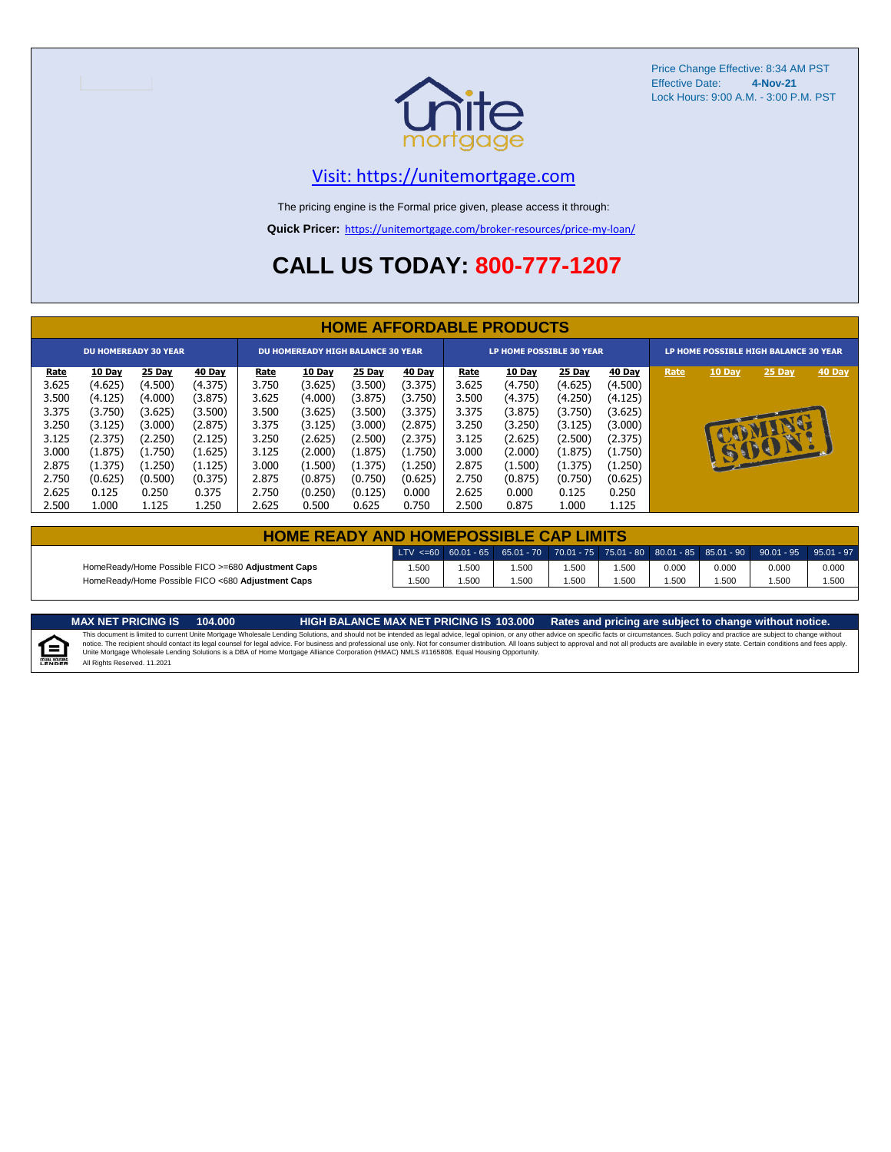

Price Change Effective: 8:34 AM PST Effective Date: **4-Nov-21** Lock Hours: 9:00 A.M. - 3:00 P.M. PST

#### [V](https://unitemortgage.com/)isit: https://unitemortgage.com

The pricing engine is the Formal price given, please access it through:

**Quick Pricer:** [https://un](https://unitemortgage.com/broker-resources/price-my-loan/)itemortgage.com/broker-resources/price-my-loan/

## **CALL US TODAY: 800-777-1207**

|             | <b>HOME AFFORDABLE PRODUCTS</b> |                             |               |             |                                          |         |         |                                 |               |         |         |                                       |              |          |        |
|-------------|---------------------------------|-----------------------------|---------------|-------------|------------------------------------------|---------|---------|---------------------------------|---------------|---------|---------|---------------------------------------|--------------|----------|--------|
|             |                                 | <b>DU HOMEREADY 30 YEAR</b> |               |             | <b>DU HOMEREADY HIGH BALANCE 30 YEAR</b> |         |         | <b>LP HOME POSSIBLE 30 YEAR</b> |               |         |         | LP HOME POSSIBLE HIGH BALANCE 30 YEAR |              |          |        |
| <u>Rate</u> | 10 Day                          | 25 Day                      | <b>40 Day</b> | <u>Rate</u> | <b>10 Day</b>                            | 25 Day  | 40 Day  | <u>Rate</u>                     | <b>10 Day</b> | 25 Day  | 40 Day  | Rate                                  | 10 Day       | 25 Day   | 40 Day |
| 3.625       | (4.625)                         | (4.500)                     | (4.375)       | 3.750       | (3.625)                                  | (3.500) | (3.375) | 3.625                           | (4.750)       | (4.625) | (4.500) |                                       |              |          |        |
| 3.500       | (4.125)                         | (4.000)                     | (3.875)       | 3.625       | (4.000)                                  | (3.875) | (3.750) | 3.500                           | (4.375)       | (4.250) | (4.125) |                                       |              |          |        |
| 3.375       | (3.750)                         | (3.625)                     | (3.500)       | 3.500       | (3.625)                                  | (3.500) | (3.375) | 3.375                           | (3.875)       | (3.750) | (3.625) |                                       |              |          |        |
| 3.250       | (3.125)                         | (3.000)                     | (2.875)       | 3.375       | (3.125)                                  | (3.000) | (2.875) | 3.250                           | (3.250)       | (3.125) | (3.000) |                                       |              | <b>D</b> |        |
| 3.125       | (2.375)                         | (2.250)                     | (2.125)       | 3.250       | (2.625)                                  | (2.500) | (2.375) | 3.125                           | (2.625)       | (2.500) | (2.375) |                                       |              |          |        |
| 3.000       | (1.875)                         | (1.750)                     | (1.625)       | 3.125       | (2.000)                                  | (1.875) | (1.750) | 3.000                           | (2.000)       | (1.875) | (1.750) |                                       | $\mathbf{F}$ | CSBCIL   |        |
| 2.875       | (1.375)                         | (1.250)                     | (1.125)       | 3.000       | (1.500)                                  | (1.375) | (1.250) | 2.875                           | (1.500)       | (1.375) | (1.250) |                                       |              |          |        |
| 2.750       | (0.625)                         | (0.500)                     | (0.375)       | 2.875       | (0.875)                                  | (0.750) | (0.625) | 2.750                           | (0.875)       | (0.750) | (0.625) |                                       |              |          |        |
| 2.625       | 0.125                           | 0.250                       | 0.375         | 2.750       | (0.250)                                  | (0.125) | 0.000   | 2.625                           | 0.000         | 0.125   | 0.250   |                                       |              |          |        |
| 2.500       | 1.000                           | 1.125                       | 1.250         | 2.625       | 0.500                                    | 0.625   | 0.750   | 2.500                           | 0.875         | 1.000   | 1.125   |                                       |              |          |        |

| <b>HOME READY AND HOMEPOSSIBLE CAP LIMITS</b>      |      |      |      |      |      |       |       |                                                                                                              |       |
|----------------------------------------------------|------|------|------|------|------|-------|-------|--------------------------------------------------------------------------------------------------------------|-------|
|                                                    |      |      |      |      |      |       |       | $\text{LTV} \leq 60$ 60.01 - 65 65.01 - 70 70.01 - 75 75.01 - 80 80.01 - 85 85.01 - 90 90.01 - 95 95.01 - 97 |       |
| HomeReady/Home Possible FICO >=680 Adjustment Caps | .500 | .500 | .500 | .500 | .500 | 0.000 | 0.000 | 0.000                                                                                                        | 0.000 |
| HomeReady/Home Possible FICO <680 Adjustment Caps  | .500 | .500 | .500 | .500 | .500 | .500  | .500  | .500                                                                                                         | .500  |

MAX NET PRICING IS 103.000 Rates and pricing are subject to change without notice.<br>This document is limited to current Unite Mortgage Wholesale Lending Solutions, and should not be intended as legal advice, legal opinion,



All Rights Reserved. 11.2021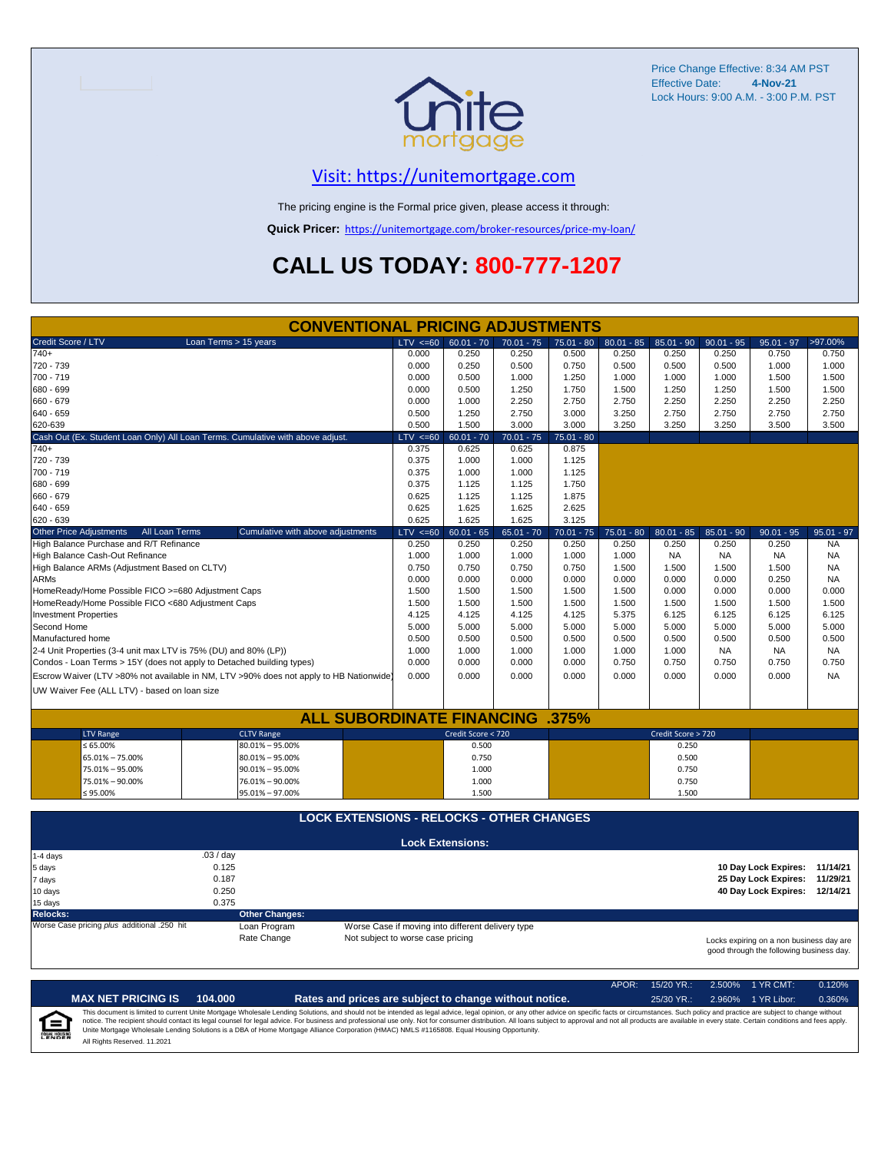

Price Change Effective: 8:34 AM PST Effective Date: **4-Nov-21** Lock Hours: 9:00 A.M. - 3:00 P.M. PST

#### [V](https://unitemortgage.com/)isit: https://unitemortgage.com

The pricing engine is the Formal price given, please access it through:

**Quick Pricer:** [https://un](https://unitemortgage.com/broker-resources/price-my-loan/)itemortgage.com/broker-resources/price-my-loan/

## **CALL US TODAY: 800-777-1207**

| <b>CONVENTIONAL PRICING ADJUSTMENTS</b>                                        |                                                                                        |                                                                      |                                                   |              |              |              |                    |              |                                                                                      |              |
|--------------------------------------------------------------------------------|----------------------------------------------------------------------------------------|----------------------------------------------------------------------|---------------------------------------------------|--------------|--------------|--------------|--------------------|--------------|--------------------------------------------------------------------------------------|--------------|
| Credit Score / LTV                                                             | Loan Terms > 15 years                                                                  | $LTV \le 60$                                                         | $60.01 - 70$                                      | $70.01 - 75$ | $75.01 - 80$ | $80.01 - 85$ | $85.01 - 90$       | $90.01 - 95$ | $95.01 - 97$                                                                         | >97.00%      |
| $740+$                                                                         |                                                                                        | 0.000                                                                | 0.250                                             | 0.250        | 0.500        | 0.250        | 0.250              | 0.250        | 0.750                                                                                | 0.750        |
| 720 - 739                                                                      |                                                                                        | 0.000                                                                | 0.250                                             | 0.500        | 0.750        | 0.500        | 0.500              | 0.500        | 1.000                                                                                | 1.000        |
| 700 - 719                                                                      |                                                                                        | 0.000                                                                | 0.500                                             | 1.000        | 1.250        | 1.000        | 1.000              | 1.000        | 1.500                                                                                | 1.500        |
| 680 - 699                                                                      |                                                                                        | 0.000                                                                | 0.500                                             | 1.250        | 1.750        | 1.500        | 1.250              | 1.250        | 1.500                                                                                | 1.500        |
| 660 - 679                                                                      |                                                                                        | 0.000                                                                | 1.000                                             | 2.250        | 2.750        | 2.750        | 2.250              | 2.250        | 2.250                                                                                | 2.250        |
| 640 - 659                                                                      |                                                                                        | 0.500                                                                | 1.250                                             | 2.750        | 3.000        | 3.250        | 2.750              | 2.750        | 2.750                                                                                | 2.750        |
| 620-639                                                                        |                                                                                        | 3.000<br>3.000<br>0.500<br>1.500<br>3.250<br>3.250<br>3.250<br>3.500 |                                                   |              |              |              |                    |              |                                                                                      | 3.500        |
| Cash Out (Ex. Student Loan Only) All Loan Terms. Cumulative with above adjust. |                                                                                        | $LTV \le 60$                                                         | $60.01 - 70$                                      | $70.01 - 75$ | $75.01 - 80$ |              |                    |              |                                                                                      |              |
| 740+                                                                           |                                                                                        | 0.375                                                                | 0.625                                             | 0.625        | 0.875        |              |                    |              |                                                                                      |              |
| 720 - 739                                                                      |                                                                                        | 0.375                                                                | 1.000                                             | 1.000        | 1.125        |              |                    |              |                                                                                      |              |
| 700 - 719                                                                      |                                                                                        | 0.375                                                                | 1.000                                             | 1.000        | 1.125        |              |                    |              |                                                                                      |              |
| 680 - 699                                                                      |                                                                                        | 0.375                                                                | 1.125                                             | 1.125        | 1.750        |              |                    |              |                                                                                      |              |
| 660 - 679                                                                      |                                                                                        | 0.625                                                                | 1.125                                             | 1.125        | 1.875        |              |                    |              |                                                                                      |              |
| 640 - 659                                                                      |                                                                                        | 0.625                                                                | 1.625                                             | 1.625        | 2.625        |              |                    |              |                                                                                      |              |
| 620 - 639                                                                      |                                                                                        | 0.625                                                                | 1.625                                             | 1.625        | 3.125        |              |                    |              |                                                                                      |              |
| <b>Other Price Adjustments</b><br>All Loan Terms                               | Cumulative with above adjustments                                                      | $LTV \le 60$                                                         | $60.01 - 65$                                      | $65.01 - 70$ | $70.01 - 75$ | $75.01 - 80$ | $80.01 - 85$       | $85.01 - 90$ | $90.01 - 95$                                                                         | $95.01 - 97$ |
| High Balance Purchase and R/T Refinance                                        |                                                                                        | 0.250                                                                | 0.250                                             | 0.250        | 0.250        | 0.250        | 0.250              | 0.250        | 0.250                                                                                | <b>NA</b>    |
| High Balance Cash-Out Refinance                                                |                                                                                        | 1.000                                                                | 1.000                                             | 1.000        | 1.000        | 1.000        | <b>NA</b>          | <b>NA</b>    | <b>NA</b>                                                                            | <b>NA</b>    |
| High Balance ARMs (Adjustment Based on CLTV)                                   |                                                                                        | 0.750                                                                | 0.750                                             | 0.750        | 0.750        | 1.500        | 1.500              | 1.500        | 1.500                                                                                | <b>NA</b>    |
| <b>ARMs</b>                                                                    |                                                                                        | 0.000                                                                | 0.000                                             | 0.000        | 0.000        | 0.000        | 0.000              | 0.000        | 0.250                                                                                | <b>NA</b>    |
| HomeReady/Home Possible FICO >=680 Adjustment Caps                             |                                                                                        | 1.500                                                                | 1.500                                             | 1.500        | 1.500        | 1.500        | 0.000              | 0.000        | 0.000                                                                                | 0.000        |
| HomeReady/Home Possible FICO <680 Adjustment Caps                              |                                                                                        | 1.500                                                                | 1.500                                             | 1.500        | 1.500        | 1.500        | 1.500              | 1.500        | 1.500                                                                                | 1.500        |
| <b>Investment Properties</b>                                                   |                                                                                        | 4.125                                                                | 4.125                                             | 4.125        | 4.125        | 5.375        | 6.125              | 6.125        | 6.125                                                                                | 6.125        |
| Second Home                                                                    |                                                                                        | 5.000                                                                | 5.000                                             | 5.000        | 5.000        | 5.000        | 5.000              | 5.000        | 5.000                                                                                | 5.000        |
| Manufactured home                                                              |                                                                                        | 0.500                                                                | 0.500                                             | 0.500        | 0.500        | 0.500        | 0.500              | 0.500        | 0.500                                                                                | 0.500        |
| 2-4 Unit Properties (3-4 unit max LTV is 75% (DU) and 80% (LP))                |                                                                                        | 1.000                                                                | 1.000                                             | 1.000        | 1.000        | 1.000        | 1.000              | <b>NA</b>    | <b>NA</b>                                                                            | <b>NA</b>    |
| Condos - Loan Terms > 15Y (does not apply to Detached building types)          |                                                                                        | 0.000                                                                | 0.000                                             | 0.000        | 0.000        | 0.750        | 0.750              | 0.750        | 0.750                                                                                | 0.750        |
|                                                                                | Escrow Waiver (LTV >80% not available in NM, LTV >90% does not apply to HB Nationwide) | 0.000                                                                | 0.000                                             | 0.000        | 0.000        | 0.000        | 0.000              | 0.000        | 0.000                                                                                | <b>NA</b>    |
|                                                                                |                                                                                        |                                                                      |                                                   |              |              |              |                    |              |                                                                                      |              |
| UW Waiver Fee (ALL LTV) - based on loan size                                   |                                                                                        |                                                                      |                                                   |              |              |              |                    |              |                                                                                      |              |
|                                                                                |                                                                                        |                                                                      |                                                   |              |              |              |                    |              |                                                                                      |              |
|                                                                                | <b>ALL SUBORDINATE FINANCING .375%</b>                                                 |                                                                      |                                                   |              |              |              |                    |              |                                                                                      |              |
| <b>LTV Range</b>                                                               | <b>CLTV Range</b>                                                                      |                                                                      | Credit Score < 720                                |              |              |              | Credit Score > 720 |              |                                                                                      |              |
| $\leq 65.00\%$                                                                 | 80.01% - 95.00%                                                                        |                                                                      | 0.500                                             |              |              |              | 0.250              |              |                                                                                      |              |
| 65.01% - 75.00%                                                                | $80.01\% - 95.00\%$                                                                    |                                                                      | 0.750                                             |              |              |              | 0.500              |              |                                                                                      |              |
| 75.01% - 95.00%                                                                | $90.01\% - 95.00\%$                                                                    |                                                                      | 1.000                                             |              |              |              | 0.750              |              |                                                                                      |              |
| 75.01% - 90.00%                                                                | 76.01% - 90.00%                                                                        |                                                                      | 1.000                                             |              |              |              | 0.750              |              |                                                                                      |              |
| $\leq 95.00\%$                                                                 | 95.01% - 97.00%                                                                        |                                                                      | 1.500                                             |              |              |              | 1.500              |              |                                                                                      |              |
|                                                                                | <b>LOCK EXTENSIONS - RELOCKS - OTHER CHANGES</b>                                       |                                                                      |                                                   |              |              |              |                    |              |                                                                                      |              |
|                                                                                |                                                                                        |                                                                      |                                                   |              |              |              |                    |              |                                                                                      |              |
|                                                                                |                                                                                        |                                                                      | <b>Lock Extensions:</b>                           |              |              |              |                    |              |                                                                                      |              |
| 1-4 days                                                                       | .03/day                                                                                |                                                                      |                                                   |              |              |              |                    |              |                                                                                      |              |
| 5 days                                                                         | 0.125<br>0.187                                                                         |                                                                      |                                                   |              |              |              |                    |              | 10 Day Lock Expires: 11/14/21                                                        |              |
| 7 days                                                                         | 0.250                                                                                  |                                                                      |                                                   |              |              |              |                    |              | 25 Day Lock Expires: 11/29/21                                                        |              |
| 10 days                                                                        |                                                                                        |                                                                      |                                                   |              |              |              |                    |              | 40 Day Lock Expires: 12/14/21                                                        |              |
| 15 days<br><b>Relocks:</b>                                                     | 0.375                                                                                  |                                                                      |                                                   |              |              |              |                    |              |                                                                                      |              |
| Worse Case pricing plus additional .250 hit                                    | <b>Other Changes:</b><br>Loan Program                                                  |                                                                      | Worse Case if moving into different delivery type |              |              |              |                    |              |                                                                                      |              |
|                                                                                | Rate Change                                                                            | Not subject to worse case pricing                                    |                                                   |              |              |              |                    |              |                                                                                      |              |
|                                                                                |                                                                                        |                                                                      |                                                   |              |              |              |                    |              | Locks expiring on a non business day are<br>good through the following business day. |              |

|                                    |                              |         |                                                                                                                                                                                                                                                                                                                                                                                                                                                                                                                                                                                                                | $APOR+$ | $15/20$ YR.: | 2.500% 1 YR CMT:   | 0.120% |
|------------------------------------|------------------------------|---------|----------------------------------------------------------------------------------------------------------------------------------------------------------------------------------------------------------------------------------------------------------------------------------------------------------------------------------------------------------------------------------------------------------------------------------------------------------------------------------------------------------------------------------------------------------------------------------------------------------------|---------|--------------|--------------------|--------|
|                                    | <b>MAX NET PRICING IS</b>    | 104.000 | Rates and prices are subject to change without notice.                                                                                                                                                                                                                                                                                                                                                                                                                                                                                                                                                         |         | $25/30$ YR.: | 2.960% 1 YR Libor: | 0.360% |
| $\epsilon$<br><b>EQUAL HOUSING</b> | All Rights Reserved. 11.2021 |         | This document is limited to current Unite Mortgage Wholesale Lending Solutions, and should not be intended as legal advice, legal opinion, or any other advice on specific facts or circumstances. Such policy and practice ar<br>notice. The recipient should contact its legal counsel for legal advice. For business and professional use only. Not for consumer distribution. All loans subject to approval and not all products are available in every stat<br>Unite Mortgage Wholesale Lending Solutions is a DBA of Home Mortgage Alliance Corporation (HMAC) NMLS #1165808. Equal Housing Opportunity. |         |              |                    |        |